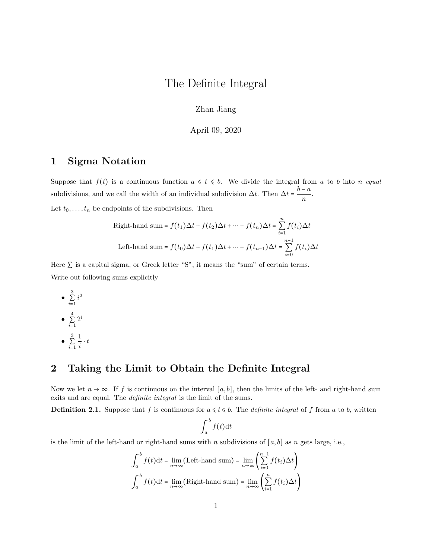# The Definite Integral

Zhan Jiang

April 09, 2020

## 1 Sigma Notation

Suppose that  $f(t)$  is a continuous function  $a \leq t \leq b$ . We divide the integral from a to b into n equal subdivisions, and we call the width of an individual subdivision  $\Delta t$ . Then  $\Delta t = \frac{b - a}{\Delta t}$  $\frac{a}{n}$ .

Let  $t_0, \ldots, t_n$  be endpoints of the subdivisions. Then

Right-hand sum = 
$$
f(t_1)\Delta t + f(t_2)\Delta t + \dots + f(t_n)\Delta t = \sum_{i=1}^n f(t_i)\Delta t
$$
  
Left-hand sum =  $f(t_0)\Delta t + f(t_1)\Delta t + \dots + f(t_{n-1})\Delta t = \sum_{i=0}^{n-1} f(t_i)\Delta t$ 

Here  $\Sigma$  is a capital sigma, or Greek letter "S", it means the "sum" of certain terms. Write out following sums explicitly

\n- $$
\sum_{i=1}^{3} i^2
$$
\n- $\sum_{i=1}^{4} 2^i$
\n- $\sum_{i=1}^{3} \frac{1}{i} \cdot t$
\n

### 2 Taking the Limit to Obtain the Definite Integral

Now we let  $n \to \infty$ . If f is continuous on the interval [a, b], then the limits of the left- and right-hand sum exits and are equal. The *definite integral* is the limit of the sums.

**Definition 2.1.** Suppose that f is continuous for  $a \le t \le b$ . The *definite integral* of f from a to b, written

$$
\int_a^b f(t) \mathrm{d} t
$$

is the limit of the left-hand or right-hand sums with n subdivisions of  $[a, b]$  as n gets large, i.e.,

$$
\int_{a}^{b} f(t)dt = \lim_{n \to \infty} (\text{Left-hand sum}) = \lim_{n \to \infty} \left( \sum_{i=0}^{n-1} f(t_i) \Delta t \right)
$$

$$
\int_{a}^{b} f(t)dt = \lim_{n \to \infty} (\text{Right-hand sum}) = \lim_{n \to \infty} \left( \sum_{i=1}^{n} f(t_i) \Delta t \right)
$$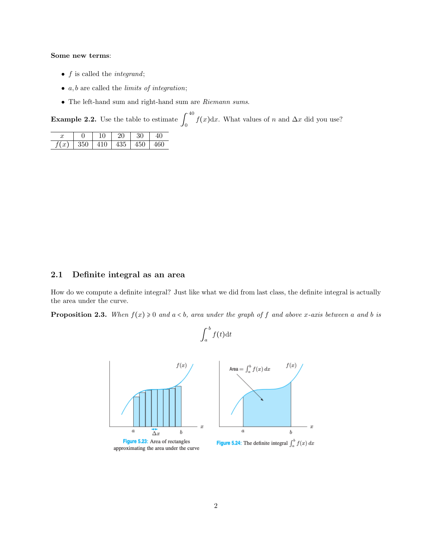#### Some new terms:

- $f$  is called the *integrand*;
- $a, b$  are called the *limits of integration*;
- The left-hand sum and right-hand sum are Riemann sums.

**Example 2.2.** Use the table to estimate  $\int_{0}^{40}$  $\int_0^{\pi} f(x) dx$ . What values of n and  $\Delta x$  did you use?

| u    |     | $10^{-1}$ | 20  | 30  | $\Lambda$ |  |
|------|-----|-----------|-----|-----|-----------|--|
| f(x) | 350 | 410       | 435 | 450 |           |  |

### 2.1 Definite integral as an area

How do we compute a definite integral? Just like what we did from last class, the definite integral is actually the area under the curve.

**Proposition 2.3.** When  $f(x) \ge 0$  and  $a < b$ , area under the graph of f and above x-axis between a and b is

b

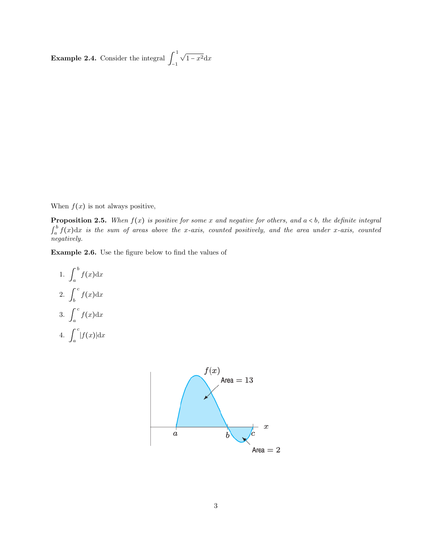**Example 2.4.** Consider the integral  $\int_{1}^{1}$ −1 √  $1 - x^2 dx$ 

When  $f(x)$  is not always positive,

**Proposition 2.5.** When  $f(x)$  is positive for some x and negative for others, and  $a < b$ , the definite integral  $\int_a^b$  $\int_a^b f(x) dx$  is the sum of areas above the x-axis, counted positively, and the area under x-axis, counted negatively.

Example 2.6. Use the figure below to find the values of

1. 
$$
\int_{a}^{b} f(x) dx
$$
  
2. 
$$
\int_{b}^{c} f(x) dx
$$
  
3. 
$$
\int_{a}^{c} f(x) dx
$$
  
4. 
$$
\int_{a}^{c} |f(x)| dx
$$

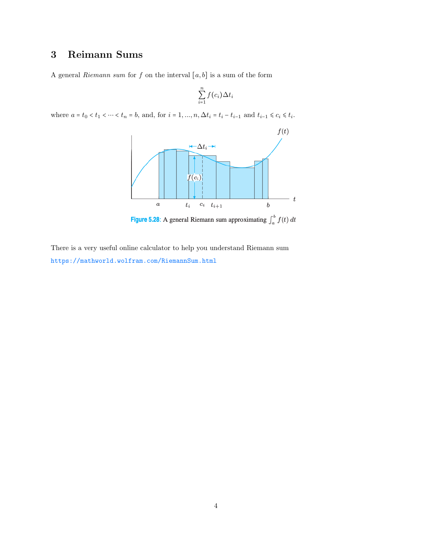# 3 Reimann Sums

A general Riemann sum for f on the interval  $[a, b]$  is a sum of the form

$$
\sum_{i=1}^n f(c_i) \Delta t_i
$$

where  $a = t_0 < t_1 < \cdots < t_n = b$ , and, for  $i = 1, ..., n$ ,  $\Delta t_i = t_i - t_{i-1}$  and  $t_{i-1} \le c_i \le t_i$ .



Figure 5.28: A general Riemann sum approximating  $\int_a^b f(t)\,dt$ 

There is a very useful online calculator to help you understand Riemann sum <https://mathworld.wolfram.com/RiemannSum.html>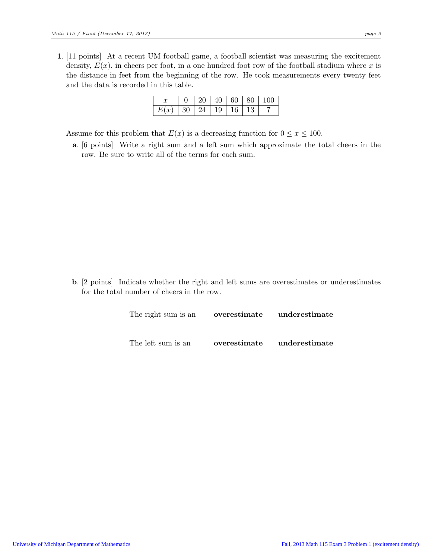1. [11 points] At a recent UM football game, a football scientist was measuring the excitement density,  $E(x)$ , in cheers per foot, in a one hundred foot row of the football stadium where x is the distance in feet from the beginning of the row. He took measurements every twenty feet and the data is recorded in this table.

|                                 |  |  | $\mid$ 20 $\mid$ 40 $\mid$ 60 $\mid$ 80 $\mid$ 100 |  |
|---------------------------------|--|--|----------------------------------------------------|--|
| $E(x)$   30   24   19   16   13 |  |  |                                                    |  |

Assume for this problem that  $E(x)$  is a decreasing function for  $0 \le x \le 100$ .

a. [6 points] Write a right sum and a left sum which approximate the total cheers in the row. Be sure to write all of the terms for each sum.

b. [2 points] Indicate whether the right and left sums are overestimates or underestimates for the total number of cheers in the row.

| The right sum is an <b>overestimate</b> underestimate |                            |  |  |  |
|-------------------------------------------------------|----------------------------|--|--|--|
|                                                       |                            |  |  |  |
| The left sum is an                                    | overestimate underestimate |  |  |  |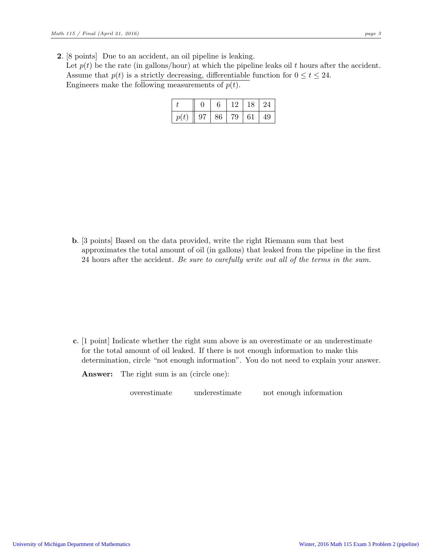2. [8 points] Due to an accident, an oil pipeline is leaking. Let  $p(t)$  be the rate (in gallons/hour) at which the pipeline leaks oil t hours after the accident. Assume that  $p(t)$  is a strictly decreasing, differentiable function for  $0 \le t \le 24$ . Engineers make the following measurements of  $p(t)$ .

|      |    | 6  |     | 18 | -24 |  |
|------|----|----|-----|----|-----|--|
| p(t) | 97 | 86 | .79 | 61 | 49  |  |

b. [3 points] Based on the data provided, write the right Riemann sum that best approximates the total amount of oil (in gallons) that leaked from the pipeline in the first 24 hours after the accident. Be sure to carefully write out all of the terms in the sum.

c. [1 point] Indicate whether the right sum above is an overestimate or an underestimate for the total amount of oil leaked. If there is not enough information to make this determination, circle "not enough information". You do not need to explain your answer.

Answer: The right sum is an (circle one):

overestimate underestimate not enough information